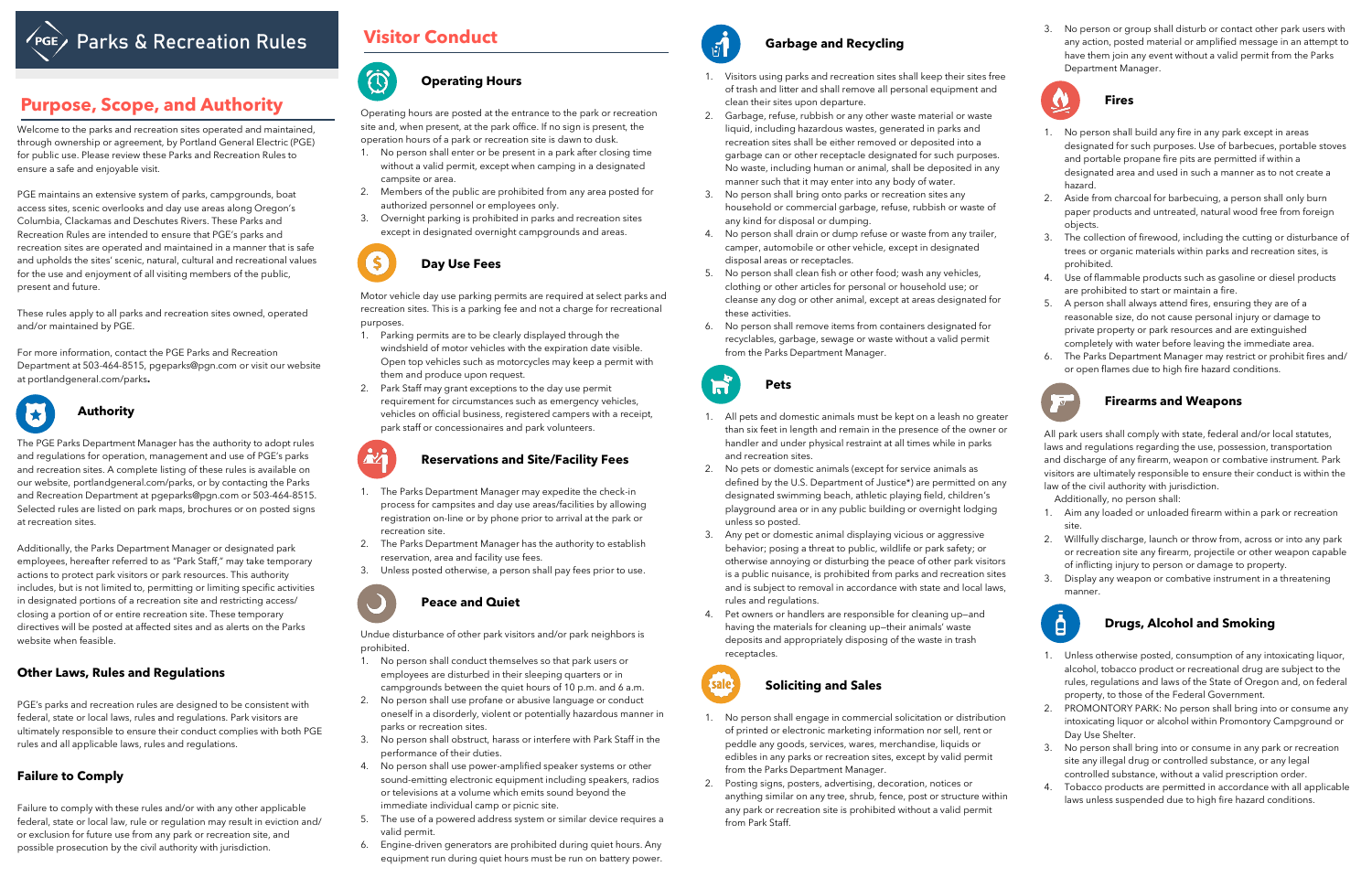# **Parks & Recreation Rules**

Welcome to the parks and recreation sites operated and maintained, through ownership or agreement, by Portland General Electric (PGE) for public use. Please review these Parks and Recreation Rules to ensure a safe and enjoyable visit.

PGE maintains an extensive system of parks, campgrounds, boat access sites, scenic overlooks and day use areas along Oregon's Columbia, Clackamas and Deschutes Rivers. These Parks and Recreation Rules are intended to ensure that PGE's parks and recreation sites are operated and maintained in a manner that is safe and upholds the sites' scenic, natural, cultural and recreational values for the use and enjoyment of all visiting members of the public, present and future.

These rules apply to all parks and recreation sites owned, operated and/or maintained by PGE.

For more information, contact the PGE Parks and Recreation Department at 503-464-8515, [pgeparks@pgn.com](mailto:pgeparks@pgn.com) or visit our website at [portlandgeneral.com/parks](http://www.PortlandGeneral.com/Parks)**.**

## **Authority**

The PGE Parks Department Manager has the authority to adopt rules and regulations for operation, management and use of PGE's parks and recreation sites. A complete listing of these rules is available on our website, [portlandgeneral.com/parks,](http://www.PortlandGeneral.com/Parks) or by contacting the Parks and Recreation Department at [pgeparks@pgn.com](mailto:pgeparks@pgn.com) or 503-464-8515. Selected rules are listed on park maps, brochures or on posted signs at recreation sites.

Additionally, the Parks Department Manager or designated park employees, hereafter referred to as "Park Staff," may take temporary actions to protect park visitors or park resources. This authority includes, but is not limited to, permitting or limiting specific activities in designated portions of a recreation site and restricting access/ closing a portion of or entire recreation site. These temporary directives will be posted at affected sites and as alerts on the Parks website when feasible.

#### **Other Laws, Rules and Regulations**

PGE's parks and recreation rules are designed to be consistent with federal, state or local laws, rules and regulations. Park visitors are ultimately responsible to ensure their conduct complies with both PGE rules and all applicable laws, rules and regulations.

### **Failure to Comply**

Failure to comply with these rules and/or with any other applicable federal, state or local law, rule or regulation may result in eviction and/ or exclusion for future use from any park or recreation site, and possible prosecution by the civil authority with jurisdiction.

# **Visitor Conduct Garbage and Recycling**



'S

## **Purpose, Scope, and Authority**

### **Operating Hours**

Operating hours are posted at the entrance to the park or recreation site and, when present, at the park office. If no sign is present, the operation hours of a park or recreation site is dawn to dusk.

- 1. No person shall enter or be present in a park after closing time without a valid permit, except when camping in a designated campsite or area.
- 2. Members of the public are prohibited from any area posted for authorized personnel or employees only.
- 3. Overnight parking is prohibited in parks and recreation sites except in designated overnight campgrounds and areas.

## **Day Use Fees**

Motor vehicle day use parking permits are required at select parks and recreation sites. This is a parking fee and not a charge for recreational purposes.

- 1. Parking permits are to be clearly displayed through the windshield of motor vehicles with the expiration date visible. Open top vehicles such as motorcycles may keep a permit with them and produce upon request.
- 2. Park Staff may grant exceptions to the day use permit requirement for circumstances such as emergency vehicles, vehicles on official business, registered campers with a receipt, park staff or concessionaires and park volunteers.



- 1. The Parks Department Manager may expedite the check-in process for campsites and day use areas/facilities by allowing registration on-line or by phone prior to arrival at the park or recreation site.
- 2. The Parks Department Manager has the authority to establish reservation, area and facility use fees.
- 3. Unless posted otherwise, a person shall pay fees prior to use.



#### **Peace and Quiet**

Undue disturbance of other park visitors and/or park neighbors is prohibited.

- 1. No person shall conduct themselves so that park users or employees are disturbed in their sleeping quarters or in campgrounds between the quiet hours of 10 p.m. and 6 a.m.
- 2. No person shall use profane or abusive language or conduct oneself in a disorderly, violent or potentially hazardous manner in parks or recreation sites.
- 3. No person shall obstruct, harass or interfere with Park Staff in the performance of their duties.
- 4. No person shall use power-amplified speaker systems or other sound-emitting electronic equipment including speakers, radios or televisions at a volume which emits sound beyond the immediate individual camp or picnic site.
- 5. The use of a powered address system or similar device requires a valid permit.
- 6. Engine-driven generators are prohibited during quiet hours. Any equipment run during quiet hours must be run on battery power.



- 1. Visitors using parks and recreation sites shall keep their sites free of trash and litter and shall remove all personal equipment and clean their sites upon departure.
- 2. Garbage, refuse, rubbish or any other waste material or waste liquid, including hazardous wastes, generated in parks and recreation sites shall be either removed or deposited into a garbage can or other receptacle designated for such purposes. No waste, including human or animal, shall be deposited in any manner such that it may enter into any body of water.
- 3. No person shall bring onto parks or recreation sites any household or commercial garbage, refuse, rubbish or waste of any kind for disposal or dumping.
- 4. No person shall drain or dump refuse or waste from any trailer, camper, automobile or other vehicle, except in designated disposal areas or receptacles.
- 5. No person shall clean fish or other food; wash any vehicles, clothing or other articles for personal or household use; or cleanse any dog or other animal, except at areas designated for these activities.
- 6. No person shall remove items from containers designated for recyclables, garbage, sewage or waste without a valid permit from the Parks Department Manager.



- 1. All pets and domestic animals must be kept on a leash no greater than six feet in length and remain in the presence of the owner or handler and under physical restraint at all times while in parks and recreation sites.
- 2. No pets or domestic animals (except for service animals as defined by the U.S. Department of Justice\*) are permitted on any designated swimming beach, athletic playing field, children's playground area or in any public building or overnight lodging unless so posted.
- 3. Any pet or domestic animal displaying vicious or aggressive behavior; posing a threat to public, wildlife or park safety; or otherwise annoying or disturbing the peace of other park visitors is a public nuisance, is prohibited from parks and recreation sites and is subject to removal in accordance with state and local laws, rules and regulations.
- 4. Pet owners or handlers are responsible for cleaning up—and having the materials for cleaning up—their animals' waste deposits and appropriately disposing of the waste in trash receptacles.



#### **Soliciting and Sales**

- 1. No person shall engage in commercial solicitation or distribution of printed or electronic marketing information nor sell, rent or peddle any goods, services, wares, merchandise, liquids or edibles in any parks or recreation sites, except by valid permit from the Parks Department Manager.
- 2. Posting signs, posters, advertising, decoration, notices or anything similar on any tree, shrub, fence, post or structure within any park or recreation site is prohibited without a valid permit from Park Staff.

3. No person or group shall disturb or contact other park users with any action, posted material or amplified message in an attempt to have them join any event without a valid permit from the Parks Department Manager.



#### **Fires**

- 1. No person shall build any fire in any park except in areas designated for such purposes. Use of barbecues, portable stoves and portable propane fire pits are permitted if within a designated area and used in such a manner as to not create a hazard.
- 2. Aside from charcoal for barbecuing, a person shall only burn paper products and untreated, natural wood free from foreign objects.
- 3. The collection of firewood, including the cutting or disturbance of trees or organic materials within parks and recreation sites, is prohibited.
- 4. Use of flammable products such as gasoline or diesel products are prohibited to start or maintain a fire.
- 5. A person shall always attend fires, ensuring they are of a reasonable size, do not cause personal injury or damage to private property or park resources and are extinguished completely with water before leaving the immediate area.
- 6. The Parks Department Manager may restrict or prohibit fires and/ or open flames due to high fire hazard conditions.



#### **Firearms and Weapons**

All park users shall comply with state, federal and/or local statutes, laws and regulations regarding the use, possession, transportation and discharge of any firearm, weapon or combative instrument. Park visitors are ultimately responsible to ensure their conduct is within the law of the civil authority with jurisdiction.

Additionally, no person shall:

- 1. Aim any loaded or unloaded firearm within a park or recreation site.
- 2. Willfully discharge, launch or throw from, across or into any park or recreation site any firearm, projectile or other weapon capable of inflicting injury to person or damage to property.
- 3. Display any weapon or combative instrument in a threatening manner.



### **Drugs, Alcohol and Smoking**

- 1. Unless otherwise posted, consumption of any intoxicating liquor, alcohol, tobacco product or recreational drug are subject to the rules, regulations and laws of the State of Oregon and, on federal property, to those of the Federal Government.
- 2. PROMONTORY PARK: No person shall bring into or consume any intoxicating liquor or alcohol within Promontory Campground or Day Use Shelter.
- 3. No person shall bring into or consume in any park or recreation site any illegal drug or controlled substance, or any legal controlled substance, without a valid prescription order.
- 4. Tobacco products are permitted in accordance with all applicable laws unless suspended due to high fire hazard conditions.